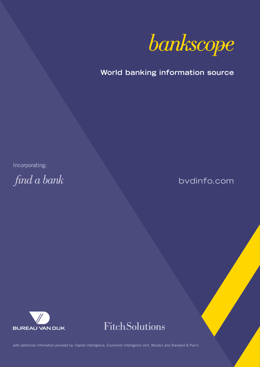

**World banking information source**

Incorporating:

find a bank

bvdinfo.com





with additional information provided by: Capital Intelligence, Economist Intelligence Unit, Moody's and Standard & Poor's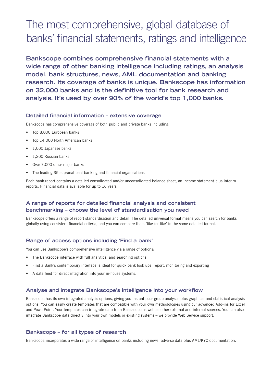# The most comprehensive, global database of banks' financial statements, ratings and intelligence

**Bankscope combines comprehensive financial statements with a wide range of other banking intelligence including ratings, an analysis model, bank structures, news, AML documentation and banking research. Its coverage of banks is unique. Bankscope has information on 32,000 banks and is the definitive tool for bank research and analysis. It's used by over 90% of the world's top 1,000 banks.** 

#### **Detailed financial information – extensive coverage**

Bankscope has comprehensive coverage of both public and private banks including:

- Top 8,000 European banks
- Top 14,000 North American banks
- 1,000 Japanese banks
- 1,200 Russian banks
- Over 7,000 other major banks
- The leading 35 supranational banking and financial organisations

Each bank report contains a detailed consolidated and/or unconsolidated balance sheet, an income statement plus interim reports. Financial data is available for up to 16 years.

# **A range of reports for detailed financial analysis and consistent benchmarking – choose the level of standardisation you need**

Bankscope offers a range of report standardisation and detail. The detailed universal format means you can search for banks globally using consistent financial criteria, and you can compare them 'like for like' in the same detailed format.

#### **Range of access options including 'Find a bank'**

You can use Bankscope's comprehensive intelligence via a range of options:

- The Bankscope interface with full analytical and searching options
- Find a Bank's contemporary interface is ideal for quick bank look ups, report, monitoring and exporting
- A data feed for direct integration into your in-house systems.

#### **Analyse and integrate Bankscope's intelligence into your workflow**

Bankscope has its own integrated analysis options, giving you instant peer group analyses plus graphical and statistical analysis options. You can easily create templates that are compatible with your own methodologies using our advanced Add-ins for Excel and PowerPoint. Your templates can integrate data from Bankscope as well as other external and internal sources. You can also integrate Bankscope data directly into your own models or existing systems – we provide Web Service support.

#### **Bankscope – for all types of research**

Bankscope incorporates a wide range of intelligence on banks including news, adverse data plus AML/KYC documentation.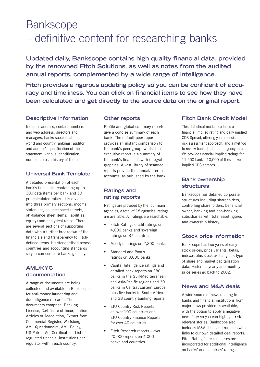# **Bankscope** – definitive content for researching banks

**Updated daily, Bankscope contains high quality financial data, provided by the renowned Fitch Solutions, as well as notes from the audited annual reports, complemented by a wide range of intelligence.** 

**Fitch provides a rigorous updating policy so you can be confident of accuracy and timeliness. You can click on financial items to see how they have been calculated and get directly to the source data on the original report.**

# **Descriptive information**

Includes address, contact numbers and web address, directors and managers, banks specialisation, world and country rankings, auditor and auditor's qualification of the statement, various identification numbers plus a history of the bank.

### **Universal Bank Template**

A detailed presentation of each bank's financials, containing up to 300 data items per bank and 50 pre-calculated ratios. It is divided into three primary sections: income statement, balance sheet (assets, off-balance sheet items, liabilities, equity) and analytical ratios. There are several sections of supporting data with a further breakdown of the financials and transparency to Fitchdefined items. It's standardised across countries and accounting standards so you can compare banks globally.

# **AML/KYC documentation**

A range of documents are being collected and available in Bankscope for anti-money laundering and due diligence research. The documents comprise: Banking License, Certificate of Incorporation, Articles of Association, Extract from Commercial Register, Wolfsberg AML Questionnaire, AML Policy, US Patriot Act Certification, List of regulated financial institutions per regulator within each country.

#### **Other reports**

Profile and global summary reports give a concise summary of each bank. The default peer report provides an instant comparison to the bank's peer group, whilst the executive report is a summary of the bank's financials with integral graphics. A vast library of scanned reports provide the annual/interim accounts, as published by the bank.

# **Ratings and rating reports**

Ratings are provided by the four main agencies; a total of 18 agencies' ratings are available. All ratings are searchable.

- Fitch Ratings credit ratings on 4,000 banks and sovereign ratings on 87 countries
- Moody's ratings on 2,300 banks
- Standard and Poor's ratings on 3,000 banks
- Capital Intelligence ratings and detailed bank reports on 280 banks in the Gulf/Mediterranean and Asia/Pacific regions and 30 banks in Central/Eastern Europe plus five banks in South Africa and 38 country banking reports
- EIU Country Risk Reports on over 100 countries and EIU Country Finance Reports for over 40 countries
- Fitch Research reports over 20,000 reports on 4,000 banks and countries

# **Fitch Bank Credit Model**

This statistical model produces a financial implied rating and daily implied CDS Spread, offering you a consistent risk assessment approach, and a method to review banks that aren't agency rated. We provide financial implied ratings for 11,500 banks, 10,000 of these have implied CDS spreads.

# **Bank ownership structures**

Bankscope has detailed corporate structures including shareholders, controlling shareholders, beneficial owner, banking and non-banking subsidiaries with total asset figures and ownership history.

# **Stock price information**

Bankscope has two years of daily stock prices, price variants, betas, indexes plus stock exchange(s), type of share and market capitalisation data. Historical yearly and monthly price series go back to 2002.

# **News and M&A deals**

A wide source of news relating to banks and financial institutions from major news providers is available, with the option to apply a negative news filter so you can highlight risk relevant stories. Bankscope also includes M&A deals and rumours with links to our own detailed deal reports. Fitch Ratings' press releases are incorporated for additional intelligence on banks' and countries' ratings.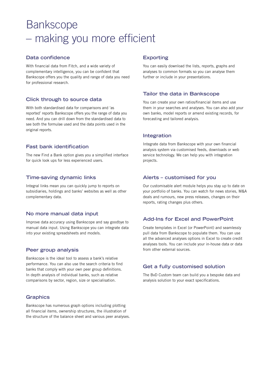# **Bankscope** – making you more efficient

#### **Data confidence**

With financial data from Fitch, and a wide variety of complementary intelligence, you can be confident that Bankscope offers you the quality and range of data you need for professional research.

#### **Click through to source data**

With both standardised data for comparisons and 'as reported' reports Bankscope offers you the range of data you need. And you can drill down from the standardised data to see both the formulae used and the data points used in the original reports.

### **Fast bank identification**

The new Find a Bank option gives you a simplified interface for quick look ups for less experienced users.

### **Time-saving dynamic links**

Integral links mean you can quickly jump to reports on subsidiaries, holdings and banks' websites as well as other complementary data.

#### **No more manual data input**

Improve data accuracy using Bankscope and say goodbye to manual data input. Using Bankscope you can integrate data into your existing spreadsheets and models.

#### **Peer group analysis**

Bankscope is the ideal tool to assess a bank's relative performance. You can also use the search criteria to find banks that comply with your own peer group definitions. In depth analysis of individual banks, such as relative comparisons by sector, region, size or specialisation.

#### **Graphics**

Bankscope has numerous graph options including plotting all financial items, ownership structures, the illustration of the structure of the balance sheet and various peer analyses.

#### **Exporting**

You can easily download the lists, reports, graphs and analyses to common formats so you can analyse them further or include in your presentations.

#### **Tailor the data in Bankscope**

You can create your own ratios/financial items and use them in your searches and analyses. You can also add your own banks, model reports or amend existing records, for forecasting and tailored analysis.

#### **Integration**

Integrate data from Bankscope with your own financial analysis system via customised feeds, downloads or web service technology. We can help you with integration projects.

#### **Alerts – customised for you**

Our customisable alert module helps you stay up to date on your portfolio of banks. You can watch for news stories, M&A deals and rumours, new press releases, changes on their reports, rating changes plus others.

# **Add-Ins for Excel and PowerPoint**

Create templates in Excel (or PowerPoint) and seamlessly pull data from Bankscope to populate them. You can use all the advanced analyses options in Excel to create credit analyses tools. You can include your in-house data or data from other external sources.

# **Get a fully customised solution**

The BvD Custom team can build you a bespoke data and analysis solution to your exact specifications.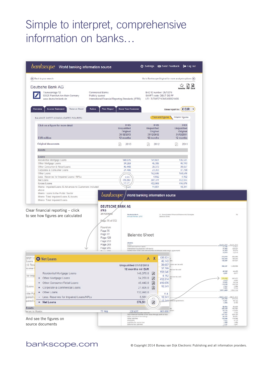# Simple to interpret, comprehensive information on banks…

| Deutsche Bank AG<br>Taunusanlage 12<br><b>Commercial Banks</b><br>60325 Frankfurt Am Main Germany<br>Publicly quoted<br>www.deutsche-bank.de<br>Overview<br><b>Income Statement</b><br><b>Balance Sheet</b><br><b>Ralios</b><br><b>Peer Report</b><br>BALANCE SHEET (CONSOLIDATED FIGURES)<br>Click on a figure for more detail<br><b>EUR</b> million | International Financial Reporting Standards (IFRS)<br>Know Your Customer<br><b>IFRS</b><br><b>Unqualified</b><br>Original                          | BvD ID number: DE13216<br>SWIFT code: DEUT DE FF<br>LEI: 7LTWFZYICNSX8D621K86<br><b>IFRS</b>                                             | 凶<br><b>Favourite PDF Excel</b><br>Show report in : $E$ EUR<br>Year-end figures \ Interim figures |                                                                                                                                              |
|-------------------------------------------------------------------------------------------------------------------------------------------------------------------------------------------------------------------------------------------------------------------------------------------------------------------------------------------------------|----------------------------------------------------------------------------------------------------------------------------------------------------|------------------------------------------------------------------------------------------------------------------------------------------|---------------------------------------------------------------------------------------------------|----------------------------------------------------------------------------------------------------------------------------------------------|
|                                                                                                                                                                                                                                                                                                                                                       |                                                                                                                                                    |                                                                                                                                          |                                                                                                   |                                                                                                                                              |
|                                                                                                                                                                                                                                                                                                                                                       |                                                                                                                                                    |                                                                                                                                          |                                                                                                   |                                                                                                                                              |
|                                                                                                                                                                                                                                                                                                                                                       |                                                                                                                                                    |                                                                                                                                          |                                                                                                   |                                                                                                                                              |
|                                                                                                                                                                                                                                                                                                                                                       |                                                                                                                                                    |                                                                                                                                          |                                                                                                   |                                                                                                                                              |
|                                                                                                                                                                                                                                                                                                                                                       | 31/12/2013                                                                                                                                         | <b>Unqualified</b><br>Original<br>31/12/2012                                                                                             | <b>IFRS</b><br>Unqualified<br>Original<br>31/12/2011                                              |                                                                                                                                              |
|                                                                                                                                                                                                                                                                                                                                                       | 12 months                                                                                                                                          | 12 months                                                                                                                                | 12 months                                                                                         |                                                                                                                                              |
| Original documents<br><b>Assets</b>                                                                                                                                                                                                                                                                                                                   | 2013<br>녀                                                                                                                                          | 2012<br>w                                                                                                                                | 2011<br>μ                                                                                         |                                                                                                                                              |
| Loans<br>Residential Mortgage Loans<br>Other Mortgage Loans                                                                                                                                                                                                                                                                                           | 148,076<br>34,259                                                                                                                                  | 141,601<br>45,306                                                                                                                        | 135,531<br>46,143                                                                                 |                                                                                                                                              |
| Other Consumer & Retail Loans<br>Corporate & Consumer Loans<br>Other Loans<br>Less: Reserves for Impaired Loans / NPLs<br>Net Loans                                                                                                                                                                                                                   | 45,440<br>21,406<br>5,58<br>376,582                                                                                                                | 39,373<br>23,203<br>152,586<br>4,692<br>397,377                                                                                          | 38,657<br>37,799<br>158,546<br>4,162<br>412,514                                                   |                                                                                                                                              |
| Gross Loans<br>Memo: Impaired Loans & Advances to Customers included<br>above                                                                                                                                                                                                                                                                         | 82.17                                                                                                                                              | 402,069<br>11,051                                                                                                                        | 416,676<br>10,341                                                                                 |                                                                                                                                              |
| Memo: Total Impaired Loans & Assets<br>Memo: Total Impaired Loans<br>Clear financial reporting - click<br><b>IFRS</b><br>31/12/2018<br>to see how figures are calculated                                                                                                                                                                              | $\emph{bankscope}$ $\emph{/}$ World banking information source<br><b>DEUTSCHE BANK AG</b><br>Deutsche Bank<br>Annual Review 2013<br>Page 76 of 572 | Dalance Sheet                                                                                                                            | 3 - Consolidated Financial Statements/Exoerpts                                                    | 72                                                                                                                                           |
| Found on:<br>Page 76<br>Page 77<br>Page 128<br>Page 253<br>Page 283<br>Page 295                                                                                                                                                                                                                                                                       | Assets<br>in $\epsilon$ <sub>m</sub><br>cash and due from banks.                                                                                   | <b>Balance Sheet</b><br>Interest-earning deposits with banks<br>Central bank funds cold and securities purchased under resale agreements |                                                                                                   | Dec 01, 2010<br>Dec 01, 2012<br>17,188<br>27,87.<br>120.637<br>77.884<br>27,363<br>36,670<br>24.013                                          |
| <b>O</b> Net Loans                                                                                                                                                                                                                                                                                                                                    |                                                                                                                                                    | X<br>135,531<br>۸                                                                                                                        |                                                                                                   | 20,870<br>210.070<br>26.4.450<br>268,3a3<br><b>604, 690</b><br>184,597<br>187,027                                                            |
| Residential Mortgage Loans                                                                                                                                                                                                                                                                                                                            | <b>Unqualified 31/12/2013</b><br>12 months mil EUR                                                                                                 | 46,143<br>37,799<br>158,546<br>148,076.0<br>囚                                                                                            | 033<br>38,657 s and can be sold<br>nd can be sold                                                 | 888.267<br>1,209.839<br>48.326<br>49.400<br>3,581<br>3,577                                                                                   |
| + Other Mortgage Loans<br>+ Other Consumer/Retail Loans<br>Corporate & Commercial Loans<br>$+$                                                                                                                                                                                                                                                        |                                                                                                                                                    | 4,162<br>因<br>34,259.0<br>412,514<br>$\mathbb{Z}$<br>45,440.0<br>416,676<br>10,341<br>囚<br>21,406.0                                      | ind can be sold                                                                                   | (76,682<br>307,377<br>4.470<br>4.953<br>13,832<br>14,219<br>112,630<br>123,702<br>2.322<br>2,388<br>7,071<br>7,712<br>1,611,400<br>2,022,276 |
| Other Loans<br>٠<br>Less. Reserves for Impaired Loans/NPLs<br>$=$ Net Loans                                                                                                                                                                                                                                                                           |                                                                                                                                                    | 132,990.0<br>n.a.<br>10,341<br>5,589<br>c<br>10.341                                                                                      | mase agreements                                                                                   | Dec 31, 2013<br>Dec 31, 2012<br>627,760<br>677,210<br>13,381<br>36.144                                                                       |
|                                                                                                                                                                                                                                                                                                                                                       |                                                                                                                                                    | 凶<br>376,58                                                                                                                              |                                                                                                   | 2,304<br>3,100<br>66.804<br>64.400<br>483,428<br>762,662                                                                                     |
| 77.984<br>Inces to Banks<br>And see the figures on                                                                                                                                                                                                                                                                                                    | 120 637<br>Other short-term barrowings<br>Other liabilities                                                                                        | 162.000<br>Total financial liabilities at fair value through profit or loss                                                              | r loss                                                                                            | 90.104<br>119,409<br>0.067<br>7.732<br>637,404<br>025,103<br>69,767<br>89, 881<br>163,686<br>179,099                                         |

# bankscope.com © Copyright 2014 Bureau van Dijk Electronic Publishing and all information providers.